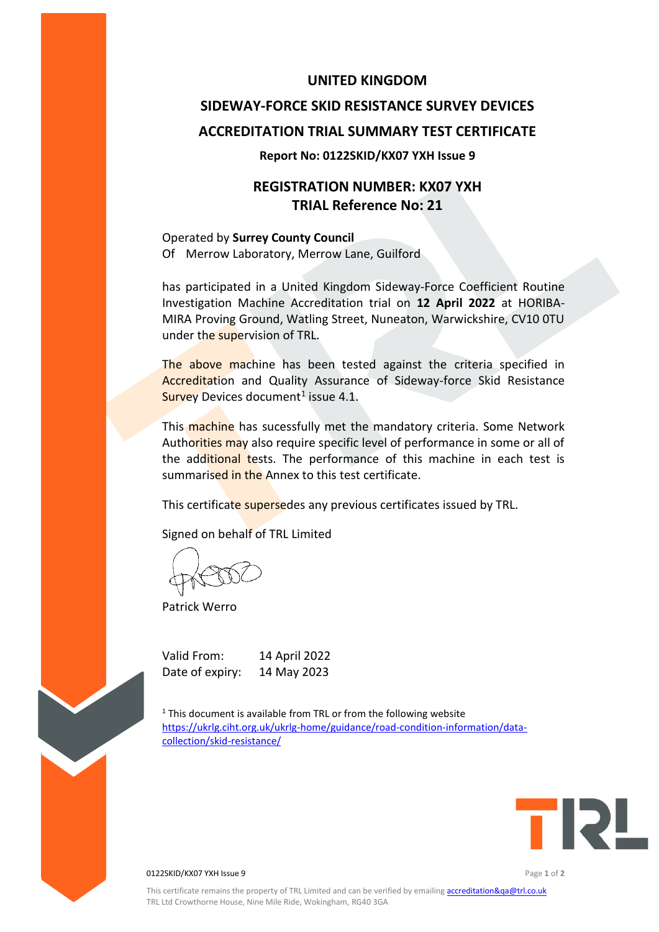### **UNITED KINGDOM**

# **SIDEWAY-FORCE SKID RESISTANCE SURVEY DEVICES ACCREDITATION TRIAL SUMMARY TEST CERTIFICATE**

#### **Report No: 0122SKID/KX07 YXH Issue 9**

## **REGISTRATION NUMBER: KX07 YXH TRIAL Reference No: 21**

Operated by **Surrey County Council** Of Merrow Laboratory, Merrow Lane, Guilford

has participated in a United Kingdom Sideway-Force Coefficient Routine Investigation Machine Accreditation trial on **12 April 2022** at HORIBA-MIRA Proving Ground, Watling Street, Nuneaton, Warwickshire, CV10 0TU under the supervision of TRL.

The above machine has been tested against the criteria specified in Accreditation and Quality Assurance of Sideway-force Skid Resistance Survey Devices document<sup>1</sup> issue 4.1.

This machine has sucessfully met the mandatory criteria. Some Network Authorities may also require specific level of performance in some or all of the additional tests. The performance of this machine in each test is summarised in the Annex to this test certificate.

This certificate supersedes any previous certificates issued by TRL.

Signed on behalf of TRL Limited

Patrick Werro

Valid From: 14 April 2022 Date of expiry: 14 May 2023

 $1$  This document is available from TRL or from the following website [https://ukrlg.ciht.org.uk/ukrlg-home/guidance/road-condition-information/data](https://ukrlg.ciht.org.uk/ukrlg-home/guidance/road-condition-information/data-collection/skid-resistance/)[collection/skid-resistance/](https://ukrlg.ciht.org.uk/ukrlg-home/guidance/road-condition-information/data-collection/skid-resistance/)



0122SKID/KX07 YXH Issue 9 Page **1** of **2**